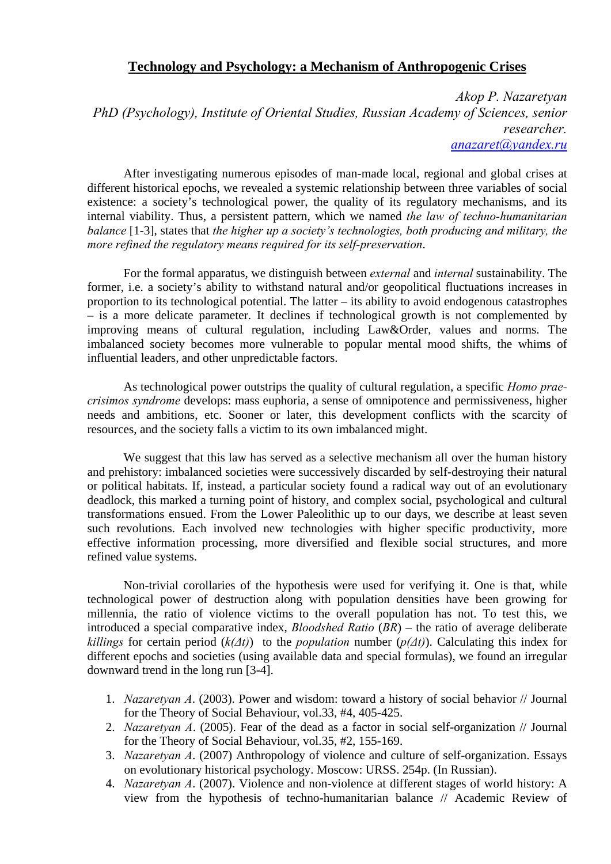## **Technology and Psychology: a Mechanism of Anthropogenic Crises**

*Akop P. Nazaretyan PhD (Psychology), Institute of Oriental Studies, Russian Academy of Sciences, senior researcher. [anazaret@yandex.ru](mailto:anazaret@yandex.ru)*

After investigating numerous episodes of man-made local, regional and global crises at different historical epochs, we revealed a systemic relationship between three variables of social existence: a society's technological power, the quality of its regulatory mechanisms, and its internal viability. Thus, a persistent pattern, which we named *the law of techno-humanitarian balance* [1-3], states that *the higher up a society's technologies, both producing and military, the more refined the regulatory means required for its self-preservation*.

For the formal apparatus, we distinguish between *external* and *internal* sustainability. The former, i.e. a society's ability to withstand natural and/or geopolitical fluctuations increases in proportion to its technological potential. The latter – its ability to avoid endogenous catastrophes – is a more delicate parameter. It declines if technological growth is not complemented by improving means of cultural regulation, including Law&Order, values and norms. The imbalanced society becomes more vulnerable to popular mental mood shifts, the whims of influential leaders, and other unpredictable factors.

As technological power outstrips the quality of cultural regulation, a specific *Homo praecrisimos syndrome* develops: mass euphoria, a sense of omnipotence and permissiveness, higher needs and ambitions, etc. Sooner or later, this development conflicts with the scarcity of resources, and the society falls a victim to its own imbalanced might.

We suggest that this law has served as a selective mechanism all over the human history and prehistory: imbalanced societies were successively discarded by self-destroying their natural or political habitats. If, instead, a particular society found a radical way out of an evolutionary deadlock, this marked a turning point of history, and complex social, psychological and cultural transformations ensued. From the Lower Paleolithic up to our days, we describe at least seven such revolutions. Each involved new technologies with higher specific productivity, more effective information processing, more diversified and flexible social structures, and more refined value systems.

Non-trivial corollaries of the hypothesis were used for verifying it. One is that, while technological power of destruction along with population densities have been growing for millennia, the ratio of violence victims to the overall population has not. To test this, we introduced a special comparative index, *Bloodshed Ratio* (*BR*) – the ratio of average deliberate *killings* for certain period  $(k(\Delta t))$  to the *population* number  $(p(\Delta t))$ . Calculating this index for different epochs and societies (using available data and special formulas), we found an irregular downward trend in the long run [3-4].

- 1. *Nazaretyan A*. (2003). Power and wisdom: toward a history of social behavior // Journal for the Theory of Social Behaviour, vol.33, #4, 405-425.
- 2. *Nazaretyan A*. (2005). Fear of the dead as a factor in social self-organization // Journal for the Theory of Social Behaviour, vol.35, #2, 155-169.
- 3. *Nazaretyan A*. (2007) Anthropology of violence and culture of self-organization. Essays on evolutionary historical psychology. Moscow: URSS. 254p. (In Russian).
- 4. *Nazaretyan A*. (2007). Violence and non-violence at different stages of world history: A view from the hypothesis of techno-humanitarian balance // Academic Review of